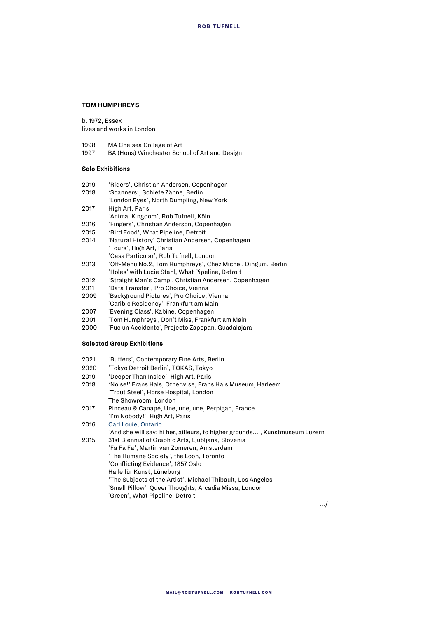## **TOM HUMPHREYS**

b. 1972, Essex lives and works in London

- 1998 MA Chelsea College of Art
- 1997 BA (Hons) Winchester School of Art and Design

## Solo Exhibitions

- 2019 'Riders', Christian Andersen, Copenhagen
- 2018 'Scanners', Schiefe Zähne, Berlin 'London Eyes', North Dumpling, New York
- 2017 High Art, Paris
- 'Animal Kingdom', Rob Tufnell, Köln
- 2016 'Fingers', Christian Anderson, Copenhagen
- 2015 'Bird Food', What Pipeline, Detroit 2014 'Natural History' Christian Andersen, Copenhagen
- 'Tours', High Art, Paris 'Casa Particular', Rob Tufnell, London
- 2013 'Off-Menu No.2, Tom Humphreys', Chez Michel, Dingum, Berlin
- 'Holes' with Lucie Stahl, What Pipeline, Detroit
- 2012 'Straight Man's Camp', Christian Andersen, Copenhagen
- 2011 'Data Transfer', Pro Choice, Vienna
- 2009 'Background Pictures', Pro Choice, Vienna 'Caribic Residency', Frankfurt am Main
- 2007 'Evening Class', Kabine, Copenhagen
- 2001 'Tom Humphreys', Don't Miss, Frankfurt am Main
- 2000 'Fue un Accidente', Projecto Zapopan, Guadalajara

## Selected Group Exhibitions

- 2021 'Buffers', Contemporary Fine Arts, Berlin
- 2020 'Tokyo Detroit Berlin', TOKAS, Tokyo
- 2019 'Deeper Than Inside', High Art, Paris
- 2018 'Noise!' Frans Hals, Otherwise, Frans Hals Museum, Harleem 'Trout Steel', Horse Hospital, London The Showroom, London
- 2017 Pinceau & Canapé, Une, une, une, Perpigan, France
- 'I'm Nobody!', High Art, Paris 2016 Carl Louie, Ontario
- 'And she will say: hi her, ailleurs, to higher grounds…', Kunstmuseum Luzern
- 2015 31st Biennial of Graphic Arts, Ljubljana, Slovenia
	- 'Fa Fa Fa', Martin van Zomeren, Amsterdam
	- 'The Humane Society', the Loon, Toronto
	- 'Conflicting Evidence', 1857 Oslo
	- Halle für Kunst, Lüneburg
	- 'The Subjects of the Artist', Michael Thibault, Los Angeles
		- 'Small Pillow', Queer Thoughts, Arcadia Missa, London
		- 'Green', What Pipeline, Detroit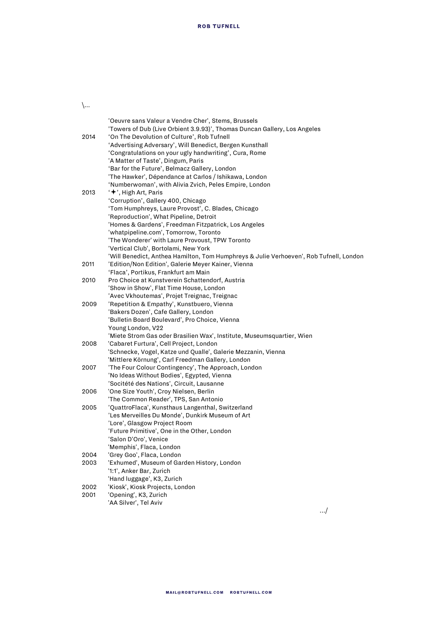|      | 'Oeuvre sans Valeur a Vendre Cher', Stems, Brussels<br>'Towers of Dub (Live Orbient 3.9.93)', Thomas Duncan Gallery, Los Angeles |
|------|----------------------------------------------------------------------------------------------------------------------------------|
| 2014 | 'On The Devolution of Culture', Rob Tufnell                                                                                      |
|      | 'Advertising Adversary', Will Benedict, Bergen Kunsthall                                                                         |
|      | 'Congratulations on your ugly handwriting', Cura, Rome                                                                           |
|      | 'A Matter of Taste', Dingum, Paris                                                                                               |
|      | 'Bar for the Future', Belmacz Gallery, London                                                                                    |
|      | 'The Hawker', Dépendance at Carlos / Ishikawa, London                                                                            |
|      | 'Numberwoman', with Alivia Zvich, Peles Empire, London                                                                           |
| 2013 | $'$ +', High Art, Paris                                                                                                          |
|      | 'Corruption', Gallery 400, Chicago                                                                                               |
|      | 'Tom Humphreys, Laure Provost', C. Blades, Chicago                                                                               |
|      | 'Reproduction', What Pipeline, Detroit                                                                                           |
|      | 'Homes & Gardens', Freedman Fitzpatrick, Los Angeles                                                                             |
|      | 'whatpipeline.com', Tomorrow, Toronto                                                                                            |
|      | 'The Wonderer' with Laure Provoust, TPW Toronto                                                                                  |
|      | 'Vertical Club', Bortolami, New York                                                                                             |
|      | 'Will Benedict, Anthea Hamilton, Tom Humphreys & Julie Verhoeven', Rob Tufnell, London                                           |
| 2011 | 'Edition/Non Edition', Galerie Meyer Kainer, Vienna                                                                              |
|      | 'Flaca', Portikus, Frankfurt am Main                                                                                             |
| 2010 | Pro Choice at Kunstverein Schattendorf, Austria                                                                                  |
|      | 'Show in Show', Flat Time House, London                                                                                          |
|      | 'Avec Vkhoutemas', Projet Treignac, Treignac                                                                                     |
| 2009 | 'Repetition & Empathy', Kunstbuero, Vienna                                                                                       |
|      | 'Bakers Dozen', Cafe Gallery, London                                                                                             |
|      | 'Bulletin Board Boulevard', Pro Choice, Vienna                                                                                   |
|      | Young London, V22                                                                                                                |
|      | 'Miete Strom Gas oder Brasilien Wax', Institute, Museumsquartier, Wien                                                           |
| 2008 | 'Cabaret Furtura', Cell Project, London                                                                                          |
|      | 'Schnecke, Vogel, Katze und Qualle', Galerie Mezzanin, Vienna                                                                    |
|      | 'Mittlere Körnung', Carl Freedman Gallery, London                                                                                |
| 2007 | 'The Four Colour Contingency', The Approach, London                                                                              |
|      | 'No Ideas Without Bodies', Egypted, Vienna                                                                                       |
|      | 'Socitété des Nations', Circuit, Lausanne                                                                                        |
| 2006 | 'One Size Youth', Croy Nielsen, Berlin                                                                                           |
|      | 'The Common Reader', TPS, San Antonio                                                                                            |
| 2005 | 'QuattroFlaca', Kunsthaus Langenthal, Switzerland                                                                                |
|      | 'Les Merveilles Du Monde', Dunkirk Museum of Art                                                                                 |
|      | 'Lore', Glasgow Project Room                                                                                                     |
|      | 'Future Primitive', One in the Other, London                                                                                     |
|      | 'Salon D'Oro', Venice                                                                                                            |
|      | 'Memphis', Flaca, London                                                                                                         |
| 2004 | 'Grey Goo', Flaca, London                                                                                                        |
| 2003 | 'Exhumed', Museum of Garden History, London                                                                                      |
|      | '1:1', Anker Bar, Zurich                                                                                                         |
|      | 'Hand luggage', K3, Zurich                                                                                                       |
| 2002 | 'Kiosk', Kiosk Projects, London                                                                                                  |
| 2001 | 'Opening', K3, Zurich                                                                                                            |
|      | 'AA Silver', Tel Aviv                                                                                                            |